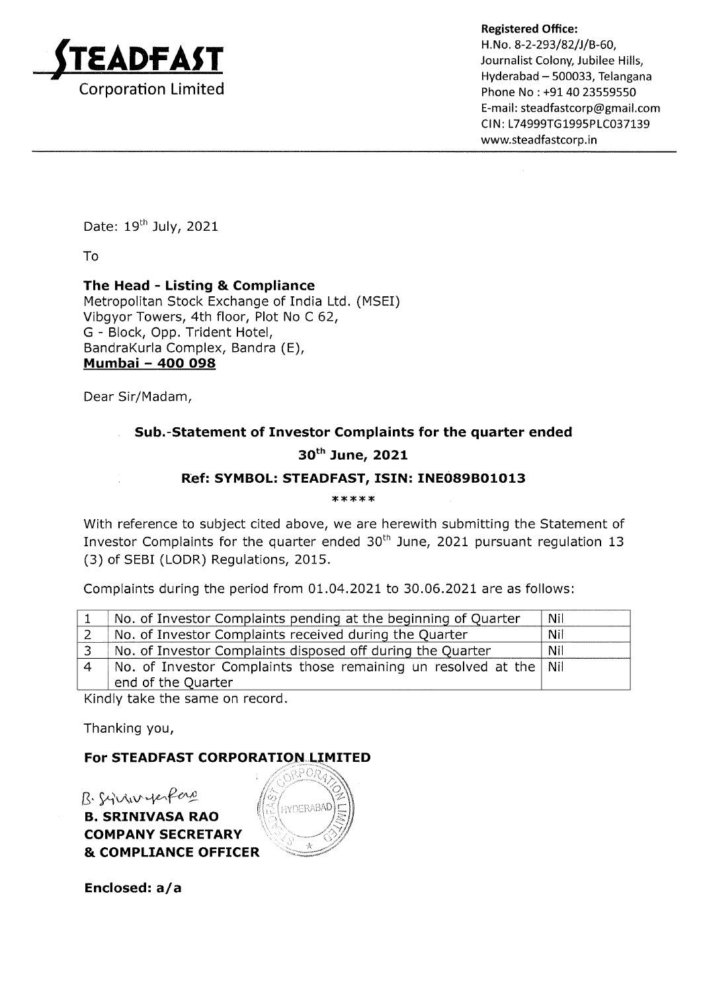

Registered Office:<br>H. No. 8-2-293/82/J/B-60,<br>Journalist Colony, Jubilee Hills, Hyderabad - 500033, Telangana Phone No : +91 40 23559550 E-mail: steadfastcorp@gmail.com CIN: L74999TG1995PLC037139 wwwsteadfastcorp.in

Date: 19<sup>th</sup> July, 2021

To

## The Head - Listing & Compliance

Metropolitan Stock Exchange of India Ltd. (MSEI) Vibgyor Towers, 4th floor, Plot No C 62, G - Block, Opp. Trident Hotel, BandraKurla Complex, Bandra (E), Mumbai - 4OO O98

Dear Sir/Madam,

# Sub.-Statement of Investor Complaints for the quarter ended 30<sup>th</sup> June, 2021

## Rbf: SYMBOL: STEADFAST, ISIN: INEO89BO1O13

\*\*\*\*\*

With reference to subject cited above, we are herewith submitting the Statement of Investor Complaints for the quarter ended  $30<sup>th</sup>$  June, 2021 pursuant regulation 13 (3) of SEBI (LODR) Regulations, 2015.

Complaints during the period from 01.04.2021 to 30.06.2021 are as follows:

| No. of Investor Complaints pending at the beginning of Quarter    | Nil |
|-------------------------------------------------------------------|-----|
| No. of Investor Complaints received during the Quarter            | Nil |
| No. of Investor Complaints disposed off during the Quarter        | Nil |
| No. of Investor Complaints those remaining un resolved at the Nil |     |
| end of the Quarter                                                |     |

Kindly take the same on record.

Thanking you,

#### For STEADFAST CORPORATION LIMITED

B. SRINIVASA RAO COMPANY SECRETARY & COMPLIANCE OFFICER  $B.$  Syrian yer fero

Enclosed: a/a